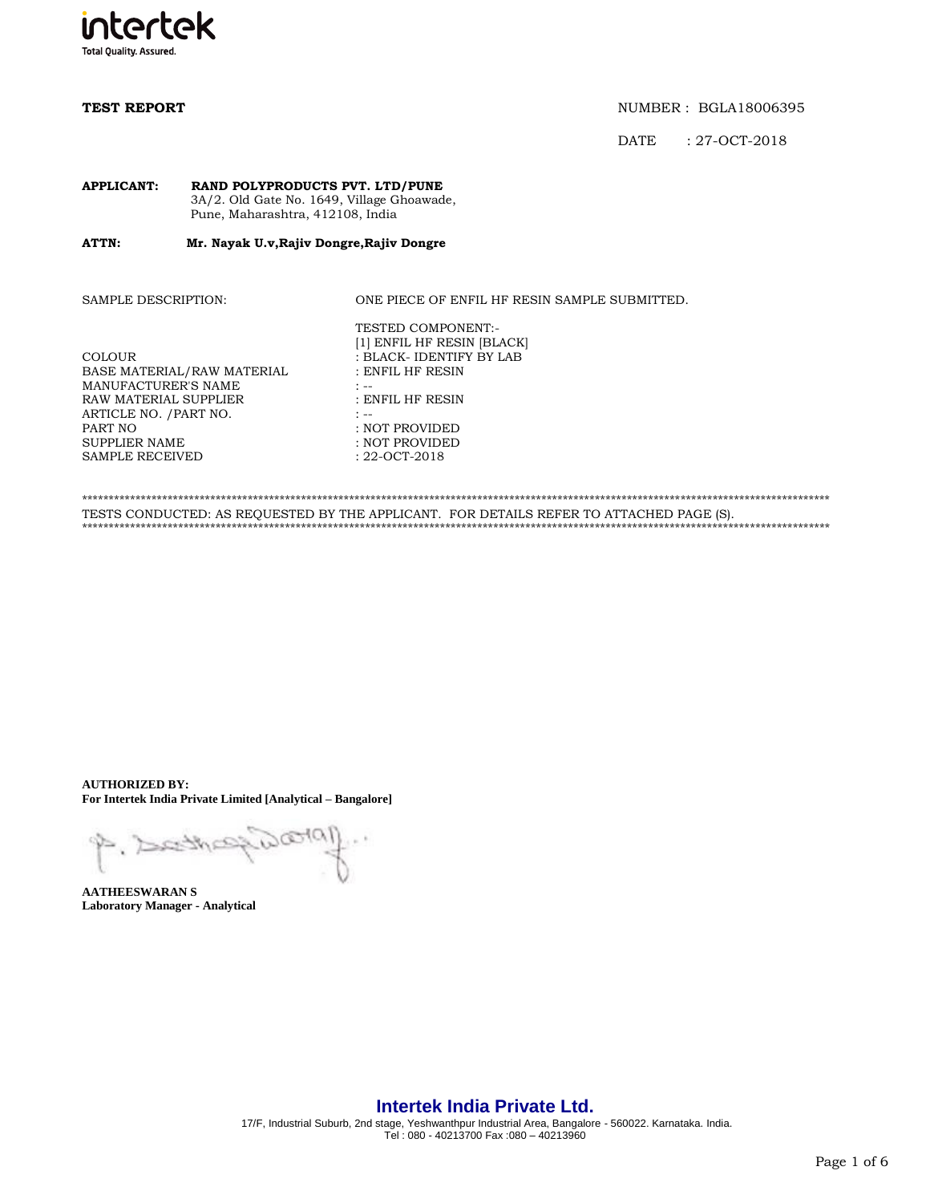

**TEST REPORT NUMBER : BGLA18006395** 

DATE : 27-OCT-2018

### **APPLICANT: RAND POLYPRODUCTS PVT. LTD/PUNE** 3A/2. Old Gate No. 1649, Village Ghoawade, Pune, Maharashtra, 412108, India

### **ATTN: Mr. Nayak U.v,Rajiv Dongre,Rajiv Dongre**

SAMPLE DESCRIPTION: ONE PIECE OF ENFIL HF RESIN SAMPLE SUBMITTED.

| COLOUR<br>BASE MATERIAL/RAW MATERIAL<br>MANUFACTURER'S NAME                | [1] ENFIL HF RESIN [BLACK]<br>: BLACK- IDENTIFY BY LAB<br>: ENFIL HF RESIN |
|----------------------------------------------------------------------------|----------------------------------------------------------------------------|
| RAW MATERIAL SUPPLIER<br>ARTICLE NO. /PART NO.<br>PART NO<br>SUPPLIER NAME | : ENFIL HF RESIN<br>: NOT PROVIDED<br>: NOT PROVIDED                       |
| SAMPLE RECEIVED                                                            | $: 22 - OCT - 2018$                                                        |

\*\*\*\*\*\*\*\*\*\*\*\*\*\*\*\*\*\*\*\*\*\*\*\*\*\*\*\*\*\*\*\*\*\*\*\*\*\*\*\*\*\*\*\*\*\*\*\*\*\*\*\*\*\*\*\*\*\*\*\*\*\*\*\*\*\*\*\*\*\*\*\*\*\*\*\*\*\*\*\*\*\*\*\*\*\*\*\*\*\*\*\*\*\*\*\*\*\*\*\*\*\*\*\*\*\*\*\*\*\*\*\*\*\*\*\*\*\*\*\*\*\*\*\*\*\*\*\*\*\*\*\*\*\*\*\*\*\*\*\* TESTS CONDUCTED: AS REQUESTED BY THE APPLICANT. FOR DETAILS REFER TO ATTACHED PAGE (S). \*\*\*\*\*\*\*\*\*\*\*\*\*\*\*\*\*\*\*\*\*\*\*\*\*\*\*\*\*\*\*\*\*\*\*\*\*\*\*\*\*\*\*\*\*\*\*\*\*\*\*\*\*\*\*\*\*\*\*\*\*\*\*\*\*\*\*\*\*\*\*\*\*\*\*\*\*\*\*\*\*\*\*\*\*\*\*\*\*\*\*\*\*\*\*\*\*\*\*\*\*\*\*\*\*\*\*\*\*\*\*\*\*\*\*\*\*\*\*\*\*\*\*\*\*\*\*\*\*\*\*\*\*\*\*\*\*\*\*\*

TESTED COMPONENT:-

**AUTHORIZED BY: For Intertek India Private Limited [Analytical – Bangalore]**

Pealoi P. Dethe

**AATHEESWARAN S Laboratory Manager - Analytical**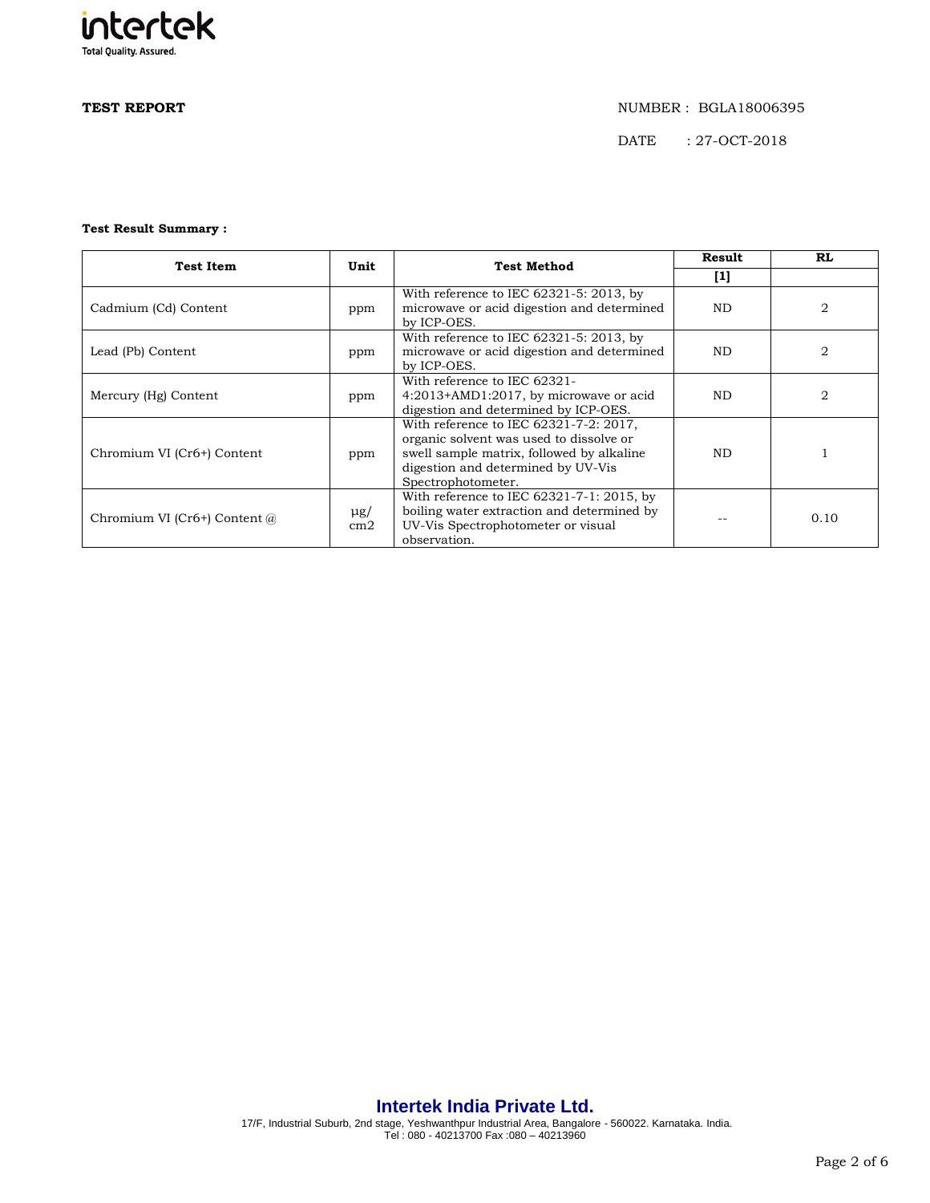

## **TEST REPORT** NUMBER : BGLA18006395

DATE : 27-OCT-2018

### **Test Result Summary :**

| <b>Test Item</b>               | Unit            | <b>Test Method</b>                                                                                                                                                                         | <b>Result</b> | <b>RL</b>      |
|--------------------------------|-----------------|--------------------------------------------------------------------------------------------------------------------------------------------------------------------------------------------|---------------|----------------|
|                                |                 |                                                                                                                                                                                            | $[1]$         |                |
| Cadmium (Cd) Content           | ppm             | With reference to IEC $62321-5:2013$ , by<br>microwave or acid digestion and determined<br>by ICP-OES.                                                                                     | <b>ND</b>     | 2              |
| Lead (Pb) Content              | ppm             | With reference to IEC $62321-5$ : 2013, by<br>microwave or acid digestion and determined<br>by ICP-OES.                                                                                    | <b>ND</b>     | $\overline{2}$ |
| Mercury (Hg) Content           | ppm             | With reference to IEC 62321-<br>4:2013+AMD1:2017, by microwave or acid<br>digestion and determined by ICP-OES.                                                                             | <b>ND</b>     | 2              |
| Chromium VI (Cr6+) Content     | ppm             | With reference to IEC 62321-7-2: 2017,<br>organic solvent was used to dissolve or<br>swell sample matrix, followed by alkaline<br>digestion and determined by UV-Vis<br>Spectrophotometer. | <b>ND</b>     |                |
| Chromium VI (Cr6+) Content $@$ | $\mu$ g/<br>cm2 | With reference to IEC $62321 - 7 - 1$ : 2015, by<br>boiling water extraction and determined by<br>UV-Vis Spectrophotometer or visual<br>observation.                                       |               | 0.10           |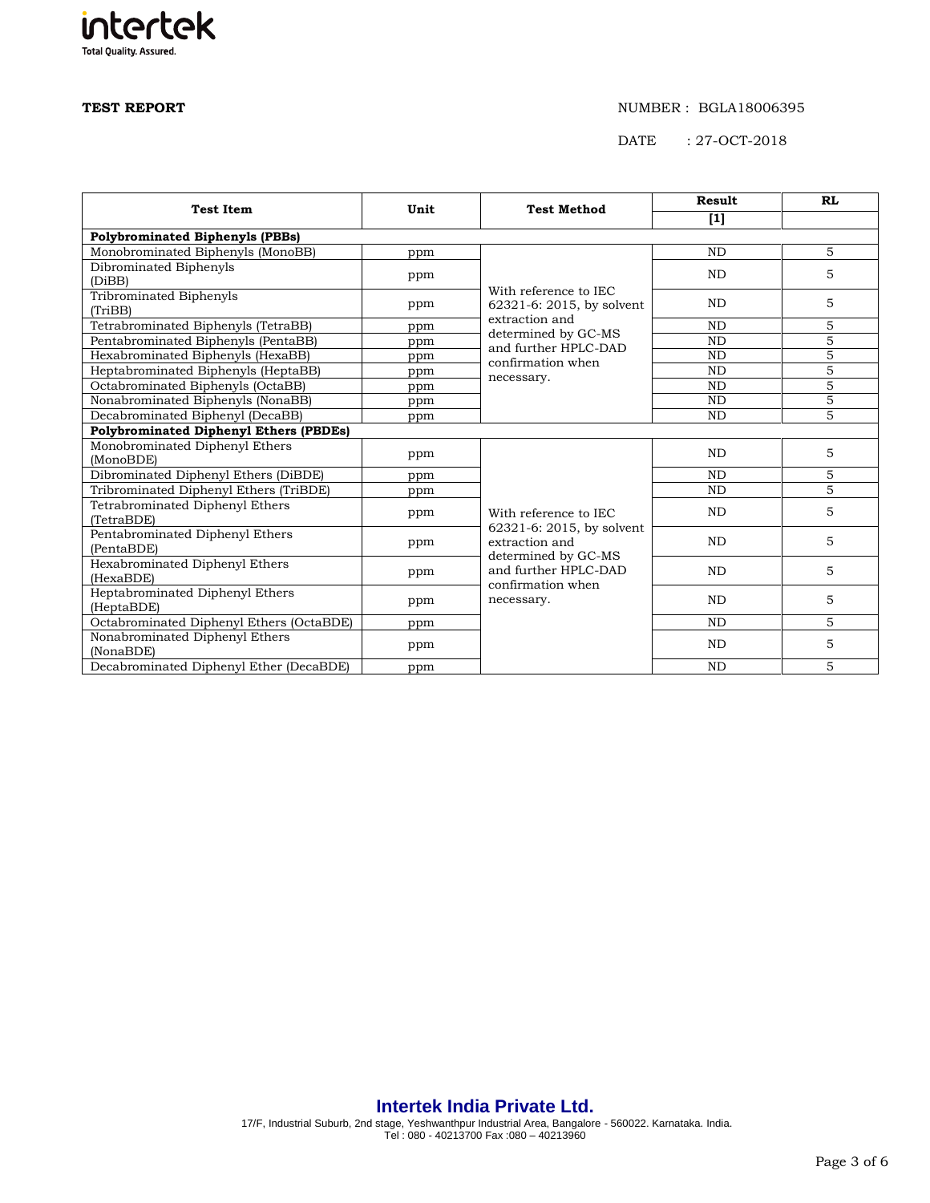# intertek **Total Quality. Assured.**

### **TEST REPORT** NUMBER : BGLA18006395

DATE : 27-OCT-2018

|                                               |      |                                             | <b>Result</b>  | <b>RL</b>      |  |  |
|-----------------------------------------------|------|---------------------------------------------|----------------|----------------|--|--|
| <b>Test Item</b>                              | Unit | <b>Test Method</b>                          | $[1]$          |                |  |  |
| <b>Polybrominated Biphenyls (PBBs)</b>        |      |                                             |                |                |  |  |
| Monobrominated Biphenyls (MonoBB)             | ppm  |                                             | <b>ND</b>      | 5              |  |  |
| Dibrominated Biphenyls                        |      |                                             | <b>ND</b>      | 5              |  |  |
| (DiBB)                                        | ppm  |                                             |                |                |  |  |
| Tribrominated Biphenyls                       | ppm  | With reference to IEC                       | <b>ND</b>      | 5              |  |  |
| (TriBB)                                       |      | 62321-6: 2015, by solvent<br>extraction and |                |                |  |  |
| Tetrabrominated Biphenyls (TetraBB)           | ppm  | determined by GC-MS                         | N <sub>D</sub> | 5              |  |  |
| Pentabrominated Biphenyls (PentaBB)           | ppm  | and further HPLC-DAD                        | <b>ND</b>      | $\overline{5}$ |  |  |
| Hexabrominated Biphenyls (HexaBB)             | ppm  | confirmation when                           | <b>ND</b>      | $\overline{5}$ |  |  |
| Heptabrominated Biphenyls (HeptaBB)           | ppm  | necessary.                                  | <b>ND</b>      | 5              |  |  |
| Octabrominated Biphenyls (OctaBB)             | ppm  |                                             | <b>ND</b>      | $\overline{5}$ |  |  |
| Nonabrominated Biphenyls (NonaBB)             | ppm  |                                             | N <sub>D</sub> | $\overline{5}$ |  |  |
| Decabrominated Biphenyl (DecaBB)              | ppm  |                                             | <b>ND</b>      | $\overline{5}$ |  |  |
| <b>Polybrominated Diphenyl Ethers (PBDEs)</b> |      |                                             |                |                |  |  |
| Monobrominated Diphenyl Ethers                | ppm  |                                             | <b>ND</b>      | 5              |  |  |
| (MonoBDE)                                     |      |                                             |                |                |  |  |
| Dibrominated Diphenyl Ethers (DiBDE)          | ppm  |                                             | N <sub>D</sub> | 5              |  |  |
| Tribrominated Diphenyl Ethers (TriBDE)        | ppm  |                                             | <b>ND</b>      | $\overline{5}$ |  |  |
| Tetrabrominated Diphenyl Ethers               | ppm  | With reference to IEC                       | <b>ND</b>      | 5              |  |  |
| (TetraBDE)                                    |      | 62321-6: 2015, by solvent                   |                |                |  |  |
| Pentabrominated Diphenyl Ethers               | ppm  | extraction and                              | <b>ND</b>      | 5              |  |  |
| (PentaBDE)                                    |      | determined by GC-MS                         |                |                |  |  |
| Hexabrominated Diphenyl Ethers                | ppm  | and further HPLC-DAD                        | <b>ND</b>      | 5              |  |  |
| (HexaBDE)                                     |      | confirmation when                           |                |                |  |  |
| Heptabrominated Diphenyl Ethers               | ppm  | necessary.                                  | N <sub>D</sub> | 5              |  |  |
| (HeptaBDE)                                    |      |                                             |                |                |  |  |
| Octabrominated Diphenyl Ethers (OctaBDE)      | ppm  |                                             | N <sub>D</sub> | 5              |  |  |
| Nonabrominated Diphenyl Ethers                | ppm  |                                             | <b>ND</b>      | 5              |  |  |
| (NonaBDE)                                     |      |                                             |                |                |  |  |
| Decabrominated Diphenyl Ether (DecaBDE)       | ppm  |                                             | <b>ND</b>      | 5              |  |  |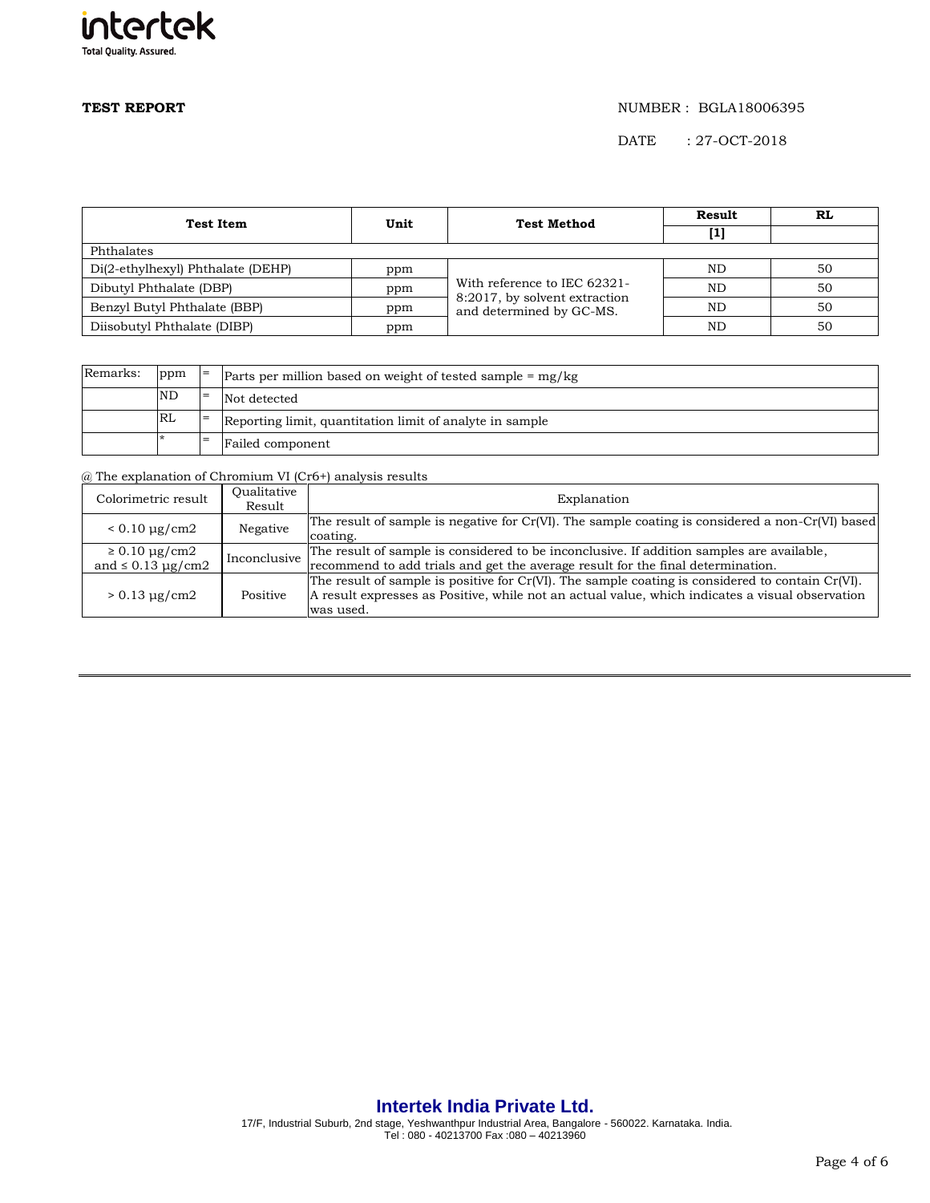

# **TEST REPORT** NUMBER : BGLA18006395

DATE : 27-OCT-2018

| <b>Test Item</b>                  | Unit | <b>Test Method</b>                                                                        | Result    | RL |
|-----------------------------------|------|-------------------------------------------------------------------------------------------|-----------|----|
|                                   |      |                                                                                           | [1]       |    |
| Phthalates                        |      |                                                                                           |           |    |
| Di(2-ethylhexyl) Phthalate (DEHP) | ppm  | With reference to IEC 62321-<br>8:2017, by solvent extraction<br>and determined by GC-MS. | ND.       | 50 |
| Dibutyl Phthalate (DBP)           | ppm  |                                                                                           | <b>ND</b> | 50 |
| Benzyl Butyl Phthalate (BBP)      | ppm  |                                                                                           | <b>ND</b> | 50 |
| Diisobutyl Phthalate (DIBP)       | ppm  |                                                                                           | ND        | 50 |

| Remarks: | ppm       | $l =$ | Parts per million based on weight of tested sample $=$ mg/kg |  |  |
|----------|-----------|-------|--------------------------------------------------------------|--|--|
|          | <b>ND</b> | $=$   | Not detected                                                 |  |  |
|          | RL        |       | Reporting limit, quantitation limit of analyte in sample     |  |  |
|          |           | -     | Failed component                                             |  |  |

@ The explanation of Chromium VI (Cr6+) analysis results

| Colorimetric result                                | Oualitative<br>Result | Explanation                                                                                                                                                                                                      |
|----------------------------------------------------|-----------------------|------------------------------------------------------------------------------------------------------------------------------------------------------------------------------------------------------------------|
| $< 0.10 \mu g/cm2$                                 | Negative              | The result of sample is negative for $Cr(VI)$ . The sample coating is considered a non- $Cr(VI)$ based<br>coating.                                                                                               |
| $\geq 0.10 \mu g/cm2$<br>and $\leq 0.13 \mu$ g/cm2 | Inconclusive          | The result of sample is considered to be inconclusive. If addition samples are available,<br>recommend to add trials and get the average result for the final determination.                                     |
| $> 0.13 \mu g/cm2$                                 | Positive              | The result of sample is positive for Cr(VI). The sample coating is considered to contain Cr(VI).<br>A result expresses as Positive, while not an actual value, which indicates a visual observation<br>was used. |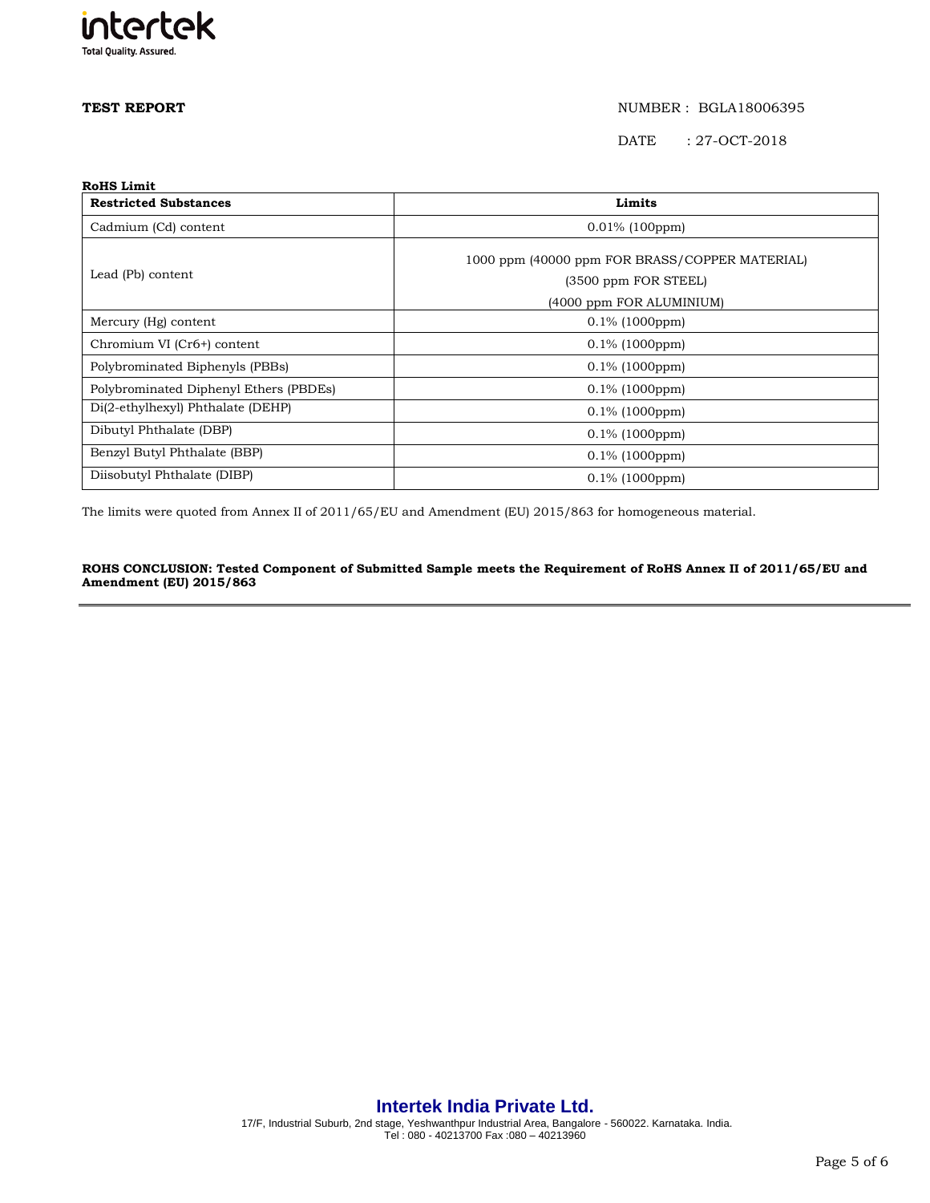

## **TEST REPORT**   $NUMBER : BGLA18006395$

DATE : 27-OCT-2018

| <b>RoHS Limit</b>                      |                                                |  |  |  |
|----------------------------------------|------------------------------------------------|--|--|--|
| <b>Restricted Substances</b>           | Limits                                         |  |  |  |
| Cadmium (Cd) content                   | $0.01\%$ (100ppm)                              |  |  |  |
|                                        | 1000 ppm (40000 ppm FOR BRASS/COPPER MATERIAL) |  |  |  |
| Lead (Pb) content                      | (3500 ppm FOR STEEL)                           |  |  |  |
|                                        | (4000 ppm FOR ALUMINIUM)                       |  |  |  |
| Mercury (Hg) content                   | $0.1\%$ (1000ppm)                              |  |  |  |
| Chromium VI (Cr6+) content             | $0.1\%$ (1000ppm)                              |  |  |  |
| Polybrominated Biphenyls (PBBs)        | $0.1\%$ (1000ppm)                              |  |  |  |
| Polybrominated Diphenyl Ethers (PBDEs) | $0.1\%$ (1000ppm)                              |  |  |  |
| Di(2-ethylhexyl) Phthalate (DEHP)      | $0.1\%$ (1000ppm)                              |  |  |  |
| Dibutyl Phthalate (DBP)                | $0.1\%$ (1000ppm)                              |  |  |  |
| Benzyl Butyl Phthalate (BBP)           | $0.1\%$ (1000ppm)                              |  |  |  |
| Diisobutyl Phthalate (DIBP)            | $0.1\%$ (1000ppm)                              |  |  |  |

The limits were quoted from Annex II of 2011/65/EU and Amendment (EU) 2015/863 for homogeneous material.

## **ROHS CONCLUSION: Tested Component of Submitted Sample meets the Requirement of RoHS Annex II of 2011/65/EU and Amendment (EU) 2015/863**